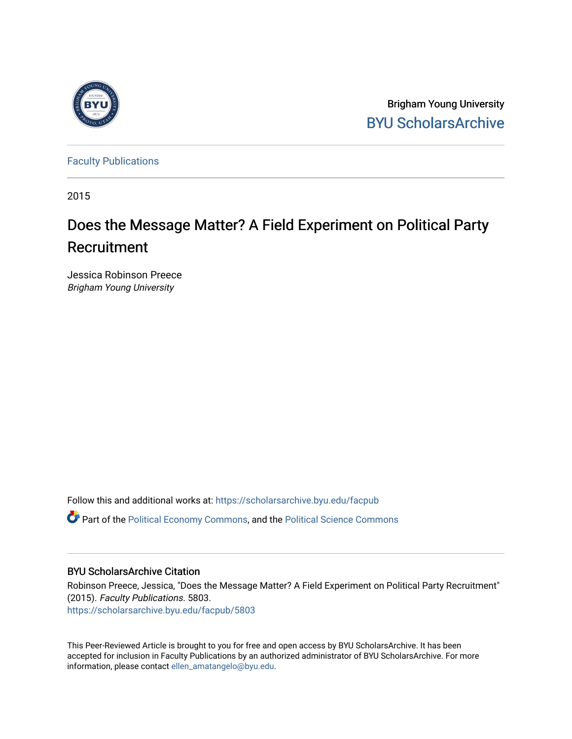

Brigham Young University [BYU ScholarsArchive](https://scholarsarchive.byu.edu/) 

[Faculty Publications](https://scholarsarchive.byu.edu/facpub)

2015

# Does the Message Matter? A Field Experiment on Political Party Recruitment

Jessica Robinson Preece Brigham Young University

Follow this and additional works at: [https://scholarsarchive.byu.edu/facpub](https://scholarsarchive.byu.edu/facpub?utm_source=scholarsarchive.byu.edu%2Ffacpub%2F5803&utm_medium=PDF&utm_campaign=PDFCoverPages) 

**C** Part of the [Political Economy Commons](http://network.bepress.com/hgg/discipline/352?utm_source=scholarsarchive.byu.edu%2Ffacpub%2F5803&utm_medium=PDF&utm_campaign=PDFCoverPages), and the Political Science Commons

### BYU ScholarsArchive Citation

Robinson Preece, Jessica, "Does the Message Matter? A Field Experiment on Political Party Recruitment" (2015). Faculty Publications. 5803.

[https://scholarsarchive.byu.edu/facpub/5803](https://scholarsarchive.byu.edu/facpub/5803?utm_source=scholarsarchive.byu.edu%2Ffacpub%2F5803&utm_medium=PDF&utm_campaign=PDFCoverPages)

This Peer-Reviewed Article is brought to you for free and open access by BYU ScholarsArchive. It has been accepted for inclusion in Faculty Publications by an authorized administrator of BYU ScholarsArchive. For more information, please contact [ellen\\_amatangelo@byu.edu.](mailto:ellen_amatangelo@byu.edu)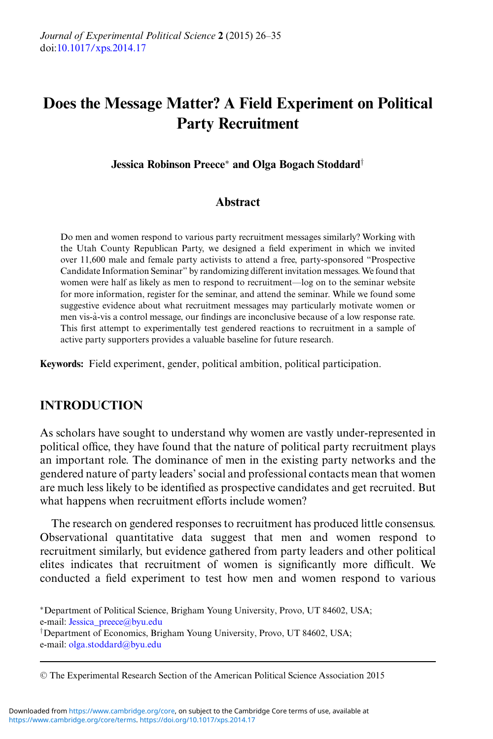# **Does the Message Matter? A Field Experiment on Political Party Recruitment**

**Jessica Robinson Preece**∗ **and Olga Bogach Stoddard**†

#### **Abstract**

Do men and women respond to various party recruitment messages similarly? Working with the Utah County Republican Party, we designed a field experiment in which we invited over 11,600 male and female party activists to attend a free, party-sponsored "Prospective Candidate Information Seminar" by randomizing different invitation messages. We found that women were half as likely as men to respond to recruitment—log on to the seminar website for more information, register for the seminar, and attend the seminar. While we found some suggestive evidence about what recruitment messages may particularly motivate women or men vis-a-vis a control message, our findings are inconclusive because of a low response rate. ` This first attempt to experimentally test gendered reactions to recruitment in a sample of active party supporters provides a valuable baseline for future research.

**Keywords:** Field experiment, gender, political ambition, political participation.

#### **INTRODUCTION**

As scholars have sought to understand why women are vastly under-represented in political office, they have found that the nature of political party recruitment plays an important role. The dominance of men in the existing party networks and the gendered nature of party leaders' social and professional contacts mean that women are much less likely to be identified as prospective candidates and get recruited. But what happens when recruitment efforts include women?

The research on gendered responses to recruitment has produced little consensus. Observational quantitative data suggest that men and women respond to recruitment similarly, but evidence gathered from party leaders and other political elites indicates that recruitment of women is significantly more difficult. We conducted a field experiment to test how men and women respond to various

<sup>∗</sup>Department of Political Science, Brigham Young University, Provo, UT 84602, USA; e-mail: [Jessica\\_preece@byu.edu](mailto:Jessica_preece@byu.edu) †Department of Economics, Brigham Young University, Provo, UT 84602, USA; e-mail: [olga.stoddard@byu.edu](mailto:olga.stoddard@byu.edu)

<sup>C</sup> The Experimental Research Section of the American Political Science Association 2015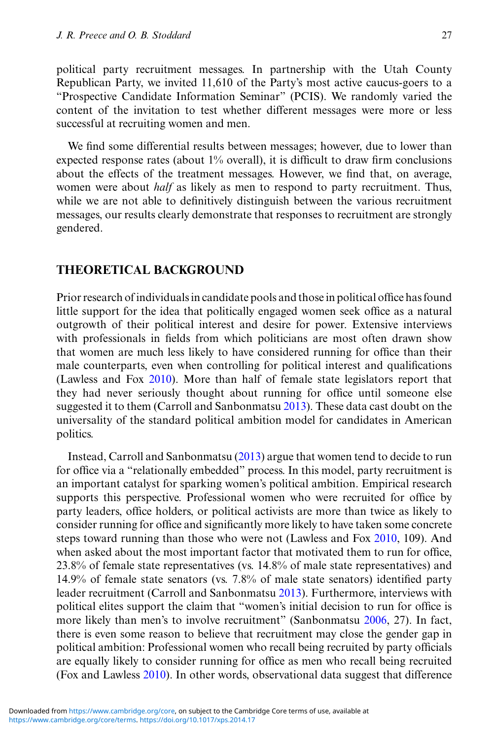political party recruitment messages. In partnership with the Utah County Republican Party, we invited 11,610 of the Party's most active caucus-goers to a "Prospective Candidate Information Seminar" (PCIS). We randomly varied the content of the invitation to test whether different messages were more or less successful at recruiting women and men.

We find some differential results between messages; however, due to lower than expected response rates (about 1% overall), it is difficult to draw firm conclusions about the effects of the treatment messages. However, we find that, on average, women were about *half* as likely as men to respond to party recruitment. Thus, while we are not able to definitively distinguish between the various recruitment messages, our results clearly demonstrate that responses to recruitment are strongly gendered.

#### **THEORETICAL BACKGROUND**

Prior research of individuals in candidate pools and those in political office has found little support for the idea that politically engaged women seek office as a natural outgrowth of their political interest and desire for power. Extensive interviews with professionals in fields from which politicians are most often drawn show that women are much less likely to have considered running for office than their male counterparts, even when controlling for political interest and qualifications (Lawless and Fox [2010\)](#page-9-0). More than half of female state legislators report that they had never seriously thought about running for office until someone else suggested it to them (Carroll and Sanbonmatsu [2013\)](#page-9-0). These data cast doubt on the universality of the standard political ambition model for candidates in American politics.

Instead, Carroll and Sanbonmatsu [\(2013\)](#page-9-0) argue that women tend to decide to run for office via a "relationally embedded" process. In this model, party recruitment is an important catalyst for sparking women's political ambition. Empirical research supports this perspective. Professional women who were recruited for office by party leaders, office holders, or political activists are more than twice as likely to consider running for office and significantly more likely to have taken some concrete steps toward running than those who were not (Lawless and Fox [2010,](#page-9-0) 109). And when asked about the most important factor that motivated them to run for office, 23.8% of female state representatives (vs. 14.8% of male state representatives) and 14.9% of female state senators (vs. 7.8% of male state senators) identified party leader recruitment (Carroll and Sanbonmatsu [2013\)](#page-9-0). Furthermore, interviews with political elites support the claim that "women's initial decision to run for office is more likely than men's to involve recruitment" (Sanbonmatsu [2006,](#page-10-0) 27). In fact, there is even some reason to believe that recruitment may close the gender gap in political ambition: Professional women who recall being recruited by party officials are equally likely to consider running for office as men who recall being recruited (Fox and Lawless [2010\)](#page-9-0). In other words, observational data suggest that difference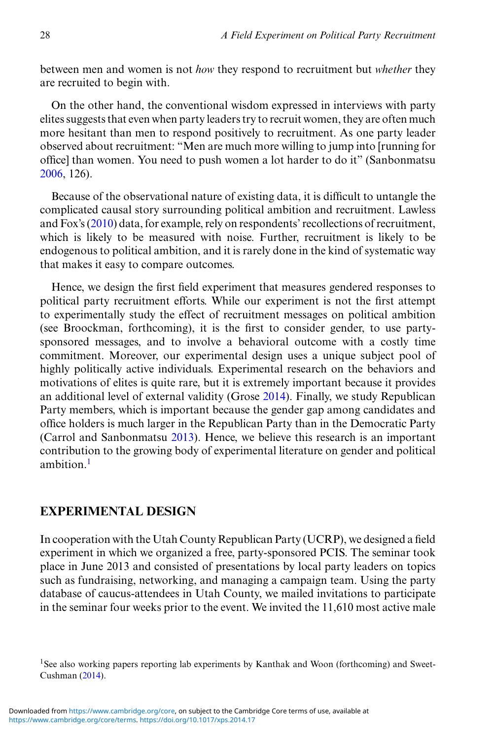between men and women is not *how* they respond to recruitment but *whether* they are recruited to begin with.

On the other hand, the conventional wisdom expressed in interviews with party elites suggests that even when party leaders try to recruit women, they are often much more hesitant than men to respond positively to recruitment. As one party leader observed about recruitment: "Men are much more willing to jump into [running for office] than women. You need to push women a lot harder to do it" (Sanbonmatsu [2006,](#page-10-0) 126).

Because of the observational nature of existing data, it is difficult to untangle the complicated causal story surrounding political ambition and recruitment. Lawless and Fox's [\(2010\)](#page-9-0) data, for example, rely on respondents' recollections of recruitment, which is likely to be measured with noise. Further, recruitment is likely to be endogenous to political ambition, and it is rarely done in the kind of systematic way that makes it easy to compare outcomes.

Hence, we design the first field experiment that measures gendered responses to political party recruitment efforts. While our experiment is not the first attempt to experimentally study the effect of recruitment messages on political ambition (see Broockman, forthcoming), it is the first to consider gender, to use partysponsored messages, and to involve a behavioral outcome with a costly time commitment. Moreover, our experimental design uses a unique subject pool of highly politically active individuals. Experimental research on the behaviors and motivations of elites is quite rare, but it is extremely important because it provides an additional level of external validity (Grose [2014\)](#page-9-0). Finally, we study Republican Party members, which is important because the gender gap among candidates and office holders is much larger in the Republican Party than in the Democratic Party (Carrol and Sanbonmatsu [2013\)](#page-9-0). Hence, we believe this research is an important contribution to the growing body of experimental literature on gender and political ambition.<sup>1</sup>

#### **EXPERIMENTAL DESIGN**

In cooperation with the Utah County Republican Party (UCRP), we designed a field experiment in which we organized a free, party-sponsored PCIS. The seminar took place in June 2013 and consisted of presentations by local party leaders on topics such as fundraising, networking, and managing a campaign team. Using the party database of caucus-attendees in Utah County, we mailed invitations to participate in the seminar four weeks prior to the event. We invited the 11,610 most active male

<sup>&</sup>lt;sup>1</sup>See also working papers reporting lab experiments by Kanthak and Woon (forthcoming) and Sweet-Cushman [\(2014\)](#page-10-0).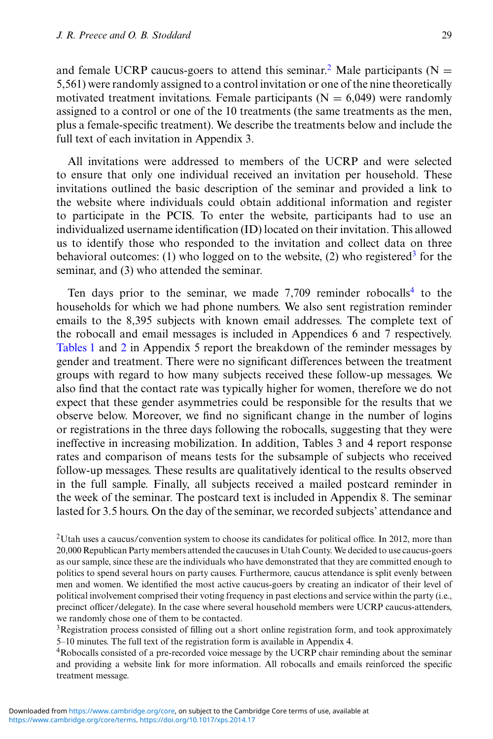and female UCRP caucus-goers to attend this seminar.<sup>2</sup> Male participants ( $N =$ 5,561) were randomly assigned to a control invitation or one of the nine theoretically motivated treatment invitations. Female participants ( $N = 6,049$ ) were randomly assigned to a control or one of the 10 treatments (the same treatments as the men, plus a female-specific treatment). We describe the treatments below and include the full text of each invitation in Appendix 3.

All invitations were addressed to members of the UCRP and were selected to ensure that only one individual received an invitation per household. These invitations outlined the basic description of the seminar and provided a link to the website where individuals could obtain additional information and register to participate in the PCIS. To enter the website, participants had to use an individualized username identification (ID) located on their invitation. This allowed us to identify those who responded to the invitation and collect data on three behavioral outcomes: (1) who logged on to the website, (2) who registered<sup>3</sup> for the seminar, and (3) who attended the seminar.

Ten days prior to the seminar, we made  $7,709$  reminder robocalls<sup>4</sup> to the households for which we had phone numbers. We also sent registration reminder emails to the 8,395 subjects with known email addresses. The complete text of the robocall and email messages is included in Appendices 6 and 7 respectively. [Tables 1](#page-6-0) and [2](#page-7-0) in Appendix 5 report the breakdown of the reminder messages by gender and treatment. There were no significant differences between the treatment groups with regard to how many subjects received these follow-up messages. We also find that the contact rate was typically higher for women, therefore we do not expect that these gender asymmetries could be responsible for the results that we observe below. Moreover, we find no significant change in the number of logins or registrations in the three days following the robocalls, suggesting that they were ineffective in increasing mobilization. In addition, Tables 3 and 4 report response rates and comparison of means tests for the subsample of subjects who received follow-up messages. These results are qualitatively identical to the results observed in the full sample. Finally, all subjects received a mailed postcard reminder in the week of the seminar. The postcard text is included in Appendix 8. The seminar lasted for 3.5 hours. On the day of the seminar, we recorded subjects' attendance and

3Registration process consisted of filling out a short online registration form, and took approximately 5–10 minutes. The full text of the registration form is available in Appendix 4.

4Robocalls consisted of a pre-recorded voice message by the UCRP chair reminding about the seminar and providing a website link for more information. All robocalls and emails reinforced the specific treatment message.

<sup>&</sup>lt;sup>2</sup>Utah uses a caucus/convention system to choose its candidates for political office. In 2012, more than 20,000 Republican Party members attended the caucuses in Utah County. We decided to use caucus-goers as our sample, since these are the individuals who have demonstrated that they are committed enough to politics to spend several hours on party causes. Furthermore, caucus attendance is split evenly between men and women. We identified the most active caucus-goers by creating an indicator of their level of political involvement comprised their voting frequency in past elections and service within the party (i.e., precinct officer/delegate). In the case where several household members were UCRP caucus-attenders, we randomly chose one of them to be contacted.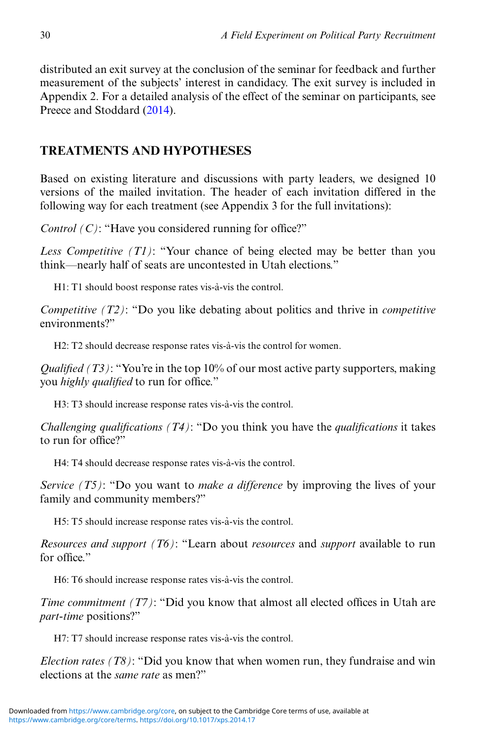distributed an exit survey at the conclusion of the seminar for feedback and further measurement of the subjects' interest in candidacy. The exit survey is included in Appendix 2. For a detailed analysis of the effect of the seminar on participants, see Preece and Stoddard [\(2014\)](#page-9-0).

## **TREATMENTS AND HYPOTHESES**

Based on existing literature and discussions with party leaders, we designed 10 versions of the mailed invitation. The header of each invitation differed in the following way for each treatment (see Appendix 3 for the full invitations):

*Control (C)*: "Have you considered running for office?"

*Less Competitive (T1)*: "Your chance of being elected may be better than you think—nearly half of seats are uncontested in Utah elections."

H1: T1 should boost response rates vis-à-vis the control.

*Competitive (T2)*: "Do you like debating about politics and thrive in *competitive* environments?"

H2: T2 should decrease response rates vis-à-vis the control for women.

*Qualified (T3)*: "You're in the top 10% of our most active party supporters, making you *highly qualified* to run for office."

H3: T3 should increase response rates vis-à-vis the control.

*Challenging qualifications (T4)*: "Do you think you have the *qualifications* it takes to run for office?"

H4: T4 should decrease response rates vis-à-vis the control.

*Service (T5)*: "Do you want to *make a difference* by improving the lives of your family and community members?"

H5: T5 should increase response rates vis-à-vis the control.

*Resources and support (T6)*: "Learn about *resources* and *support* available to run for office."

H6: T6 should increase response rates vis-à-vis the control.

*Time commitment (T7)*: "Did you know that almost all elected offices in Utah are *part-time* positions?"

H7: T7 should increase response rates vis-à-vis the control.

*Election rates (T8)*: "Did you know that when women run, they fundraise and win elections at the *same rate* as men?"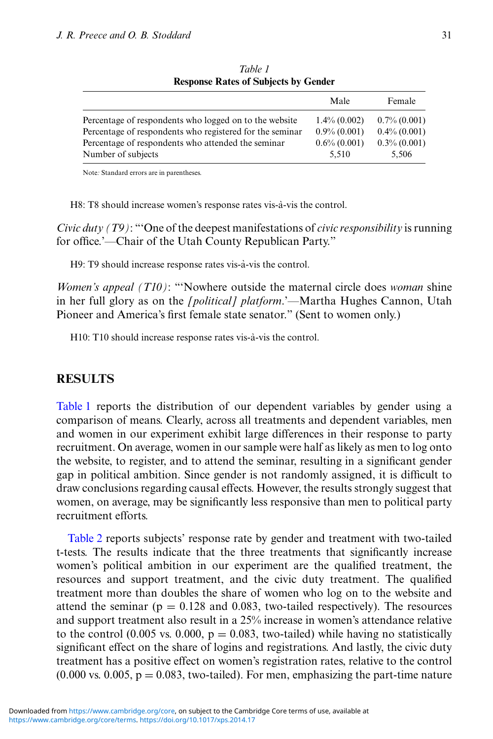<span id="page-6-0"></span>

|                                                          | Male            | Female          |
|----------------------------------------------------------|-----------------|-----------------|
| Percentage of respondents who logged on to the website   | $1.4\% (0.002)$ | $0.7\%$ (0.001) |
| Percentage of respondents who registered for the seminar | $0.9\% (0.001)$ | $0.4\%$ (0.001) |
| Percentage of respondents who attended the seminar       | $0.6\% (0.001)$ | $0.3\%$ (0.001) |
| Number of subjects                                       | 5.510           | 5.506           |

*Table 1* **Response Rates of Subjects by Gender**

Note*:* Standard errors are in parentheses.

H8: T8 should increase women's response rates vis-à-vis the control.

*Civic duty (T9)*: "'One of the deepest manifestations of *civic responsibility* is running for office.'—Chair of the Utah County Republican Party."

H9: T9 should increase response rates vis-à-vis the control.

*Women's appeal (T10)*: "'Nowhere outside the maternal circle does *woman* shine in her full glory as on the *[political] platform*.'—Martha Hughes Cannon, Utah Pioneer and America's first female state senator." (Sent to women only.)

H<sub>10</sub>: T<sub>10</sub> should increase response rates vis-a-vis the control.

#### **RESULTS**

Table 1 reports the distribution of our dependent variables by gender using a comparison of means. Clearly, across all treatments and dependent variables, men and women in our experiment exhibit large differences in their response to party recruitment. On average, women in our sample were half as likely as men to log onto the website, to register, and to attend the seminar, resulting in a significant gender gap in political ambition. Since gender is not randomly assigned, it is difficult to draw conclusions regarding causal effects. However, the results strongly suggest that women, on average, may be significantly less responsive than men to political party recruitment efforts.

[Table 2](#page-7-0) reports subjects' response rate by gender and treatment with two-tailed t-tests. The results indicate that the three treatments that significantly increase women's political ambition in our experiment are the qualified treatment, the resources and support treatment, and the civic duty treatment. The qualified treatment more than doubles the share of women who log on to the website and attend the seminar ( $p = 0.128$  and 0.083, two-tailed respectively). The resources and support treatment also result in a 25% increase in women's attendance relative to the control (0.005 vs. 0.000,  $p = 0.083$ , two-tailed) while having no statistically significant effect on the share of logins and registrations. And lastly, the civic duty treatment has a positive effect on women's registration rates, relative to the control  $(0.000 \text{ vs. } 0.005, \text{ p} = 0.083, \text{ two-tailed})$ . For men, emphasizing the part-time nature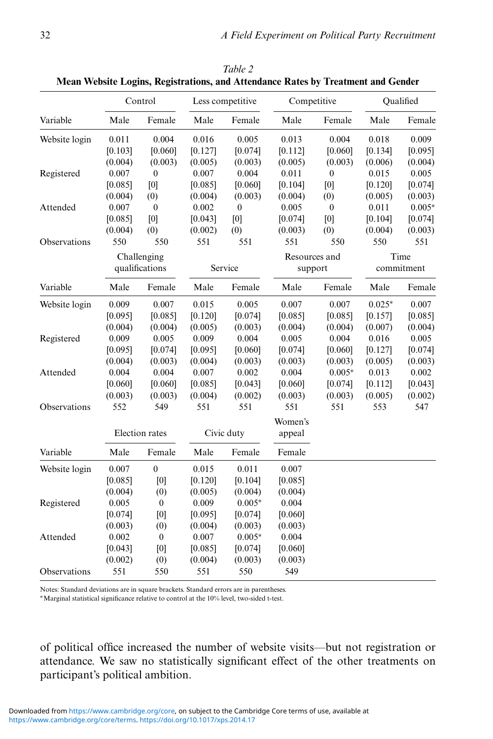|               | Control        |                  | Less competitive |                  | Competitive   |                  | Qualified  |          |
|---------------|----------------|------------------|------------------|------------------|---------------|------------------|------------|----------|
| Variable      | Male           | Female           | Male             | Female           | Male          | Female           | Male       | Female   |
| Website login | 0.011          | 0.004            | 0.016            | 0.005            | 0.013         | 0.004            | 0.018      | 0.009    |
|               | [0.103]        | [0.060]          | [0.127]          | [0.074]          | [0.112]       | [0.060]          | [0.134]    | [0.095]  |
|               | (0.004)        | (0.003)          | (0.005)          | (0.003)          | (0.005)       | (0.003)          | (0.006)    | (0.004)  |
| Registered    | 0.007          | $\mathbf{0}$     | 0.007            | 0.004            | 0.011         | $\theta$         | 0.015      | 0.005    |
|               | [0.085]        | [0]              | [0.085]          | [0.060]          | [0.104]       | [0]              | [0.120]    | [0.074]  |
|               | (0.004)        | (0)              | (0.004)          | (0.003)          | (0.004)       | (0)              | (0.005)    | (0.003)  |
| Attended      | 0.007          | $\mathbf{0}$     | 0.002            | $\boldsymbol{0}$ | 0.005         | $\boldsymbol{0}$ | 0.011      | $0.005*$ |
|               | [0.085]        | [0]              | [0.043]          | [0]              | [0.074]       | [0]              | [0.104]    | [0.074]  |
|               | (0.004)        | (0)              | (0.002)          | (0)              | (0.003)       | (0)              | (0.004)    | (0.003)  |
| Observations  | 550            | 550              | 551              | 551              | 551           | 550              | 550        | 551      |
|               |                | Challenging      |                  |                  | Resources and |                  |            | Time     |
|               | qualifications |                  | Service          |                  | support       |                  | commitment |          |
| Variable      | Male           | Female           | Male             | Female           | Male          | Female           | Male       | Female   |
| Website login | 0.009          | 0.007            | 0.015            | 0.005            | 0.007         | 0.007            | $0.025*$   | 0.007    |
|               | [0.095]        | [0.085]          | [0.120]          | [0.074]          | [0.085]       | [0.085]          | [0.157]    | [0.085]  |
|               | (0.004)        | (0.004)          | (0.005)          | (0.003)          | (0.004)       | (0.004)          | (0.007)    | (0.004)  |
| Registered    | 0.009          | 0.005            | 0.009            | 0.004            | 0.005         | 0.004            | 0.016      | 0.005    |
|               | [0.095]        | [0.074]          | [0.095]          | [0.060]          | [0.074]       | [0.060]          | [0.127]    | [0.074]  |
|               | (0.004)        | (0.003)          | (0.004)          | (0.003)          | (0.003)       | (0.003)          | (0.005)    | (0.003)  |
| Attended      | 0.004          | 0.004            | 0.007            | 0.002            | 0.004         | $0.005*$         | 0.013      | 0.002    |
|               | [0.060]        | [0.060]          | [0.085]          | [0.043]          | [0.060]       | [0.074]          | [0.112]    | [0.043]  |
|               | (0.003)        | (0.003)          | (0.004)          | (0.002)          | (0.003)       | (0.003)          | (0.005)    | (0.002)  |
| Observations  | 552            | 549              | 551              | 551              | 551           | 551              | 553        | 547      |
|               |                |                  |                  |                  | Women's       |                  |            |          |
|               |                | Election rates   |                  | Civic duty       | appeal        |                  |            |          |
| Variable      | Male           | Female           | Male             | Female           | Female        |                  |            |          |
| Website login | 0.007          | $\mathbf{0}$     | 0.015            | 0.011            | 0.007         |                  |            |          |
|               | [0.085]        | [0]              | [0.120]          | [0.104]          | [0.085]       |                  |            |          |
|               | (0.004)        | (0)              | (0.005)          | (0.004)          | (0.004)       |                  |            |          |
| Registered    | 0.005          | $\boldsymbol{0}$ | 0.009            | $0.005*$         | 0.004         |                  |            |          |
|               | [0.074]        | [0]              | [0.095]          | [0.074]          | [0.060]       |                  |            |          |
|               | (0.003)        | (0)              | (0.004)          | (0.003)          | (0.003)       |                  |            |          |
| Attended      | 0.002          | $\mathbf{0}$     | 0.007            | $0.005*$         | 0.004         |                  |            |          |
|               | [0.043]        | [0]              | [0.085]          | [0.074]          | [0.060]       |                  |            |          |
|               | (0.002)        | (0)              | (0.004)          | (0.003)          | (0.003)       |                  |            |          |
| Observations  | 551            | 550              | 551              | 550              | 549           |                  |            |          |

<span id="page-7-0"></span>*Table 2* **Mean Website Logins, Registrations, and Attendance Rates by Treatment and Gender**

Notes: Standard deviations are in square brackets. Standard errors are in parentheses.

∗Marginal statistical significance relative to control at the 10% level, two-sided t-test.

of political office increased the number of website visits—but not registration or attendance. We saw no statistically significant effect of the other treatments on participant's political ambition.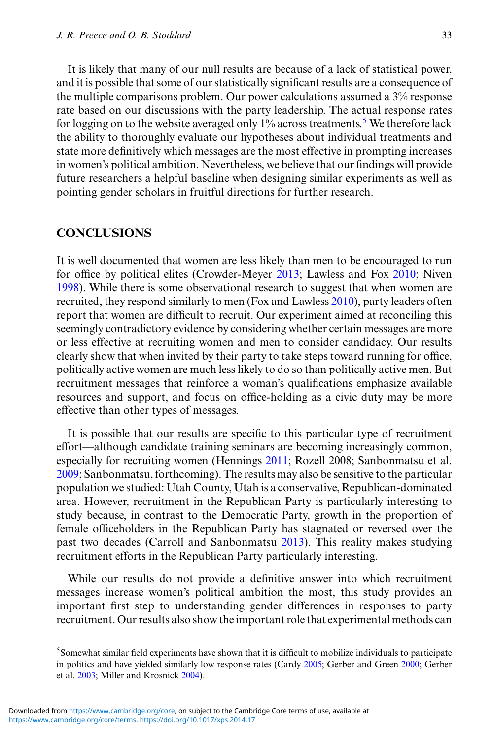It is likely that many of our null results are because of a lack of statistical power, and it is possible that some of our statistically significant results are a consequence of the multiple comparisons problem. Our power calculations assumed a 3% response rate based on our discussions with the party leadership. The actual response rates for logging on to the website averaged only  $1\%$  across treatments.<sup>5</sup> We therefore lack the ability to thoroughly evaluate our hypotheses about individual treatments and state more definitively which messages are the most effective in prompting increases in women's political ambition. Nevertheless, we believe that our findings will provide future researchers a helpful baseline when designing similar experiments as well as pointing gender scholars in fruitful directions for further research.

#### **CONCLUSIONS**

It is well documented that women are less likely than men to be encouraged to run for office by political elites (Crowder-Meyer [2013;](#page-9-0) Lawless and Fox [2010;](#page-9-0) Niven [1998\)](#page-9-0). While there is some observational research to suggest that when women are recruited, they respond similarly to men (Fox and Lawless [2010\)](#page-9-0), party leaders often report that women are difficult to recruit. Our experiment aimed at reconciling this seemingly contradictory evidence by considering whether certain messages are more or less effective at recruiting women and men to consider candidacy. Our results clearly show that when invited by their party to take steps toward running for office, politically active women are much less likely to do so than politically active men. But recruitment messages that reinforce a woman's qualifications emphasize available resources and support, and focus on office-holding as a civic duty may be more effective than other types of messages.

It is possible that our results are specific to this particular type of recruitment effort—although candidate training seminars are becoming increasingly common, especially for recruiting women (Hennings [2011;](#page-9-0) Rozell 2008; Sanbonmatsu et al. [2009;](#page-10-0) Sanbonmatsu, forthcoming). The results may also be sensitive to the particular population we studied: Utah County, Utah is a conservative, Republican-dominated area. However, recruitment in the Republican Party is particularly interesting to study because, in contrast to the Democratic Party, growth in the proportion of female officeholders in the Republican Party has stagnated or reversed over the past two decades (Carroll and Sanbonmatsu [2013\)](#page-9-0). This reality makes studying recruitment efforts in the Republican Party particularly interesting.

While our results do not provide a definitive answer into which recruitment messages increase women's political ambition the most, this study provides an important first step to understanding gender differences in responses to party recruitment. Our results also show the important role that experimental methods can

<sup>5</sup>Somewhat similar field experiments have shown that it is difficult to mobilize individuals to participate in politics and have yielded similarly low response rates (Cardy [2005;](#page-9-0) Gerber and Green [2000;](#page-9-0) Gerber et al. [2003;](#page-9-0) Miller and Krosnick [2004\)](#page-9-0).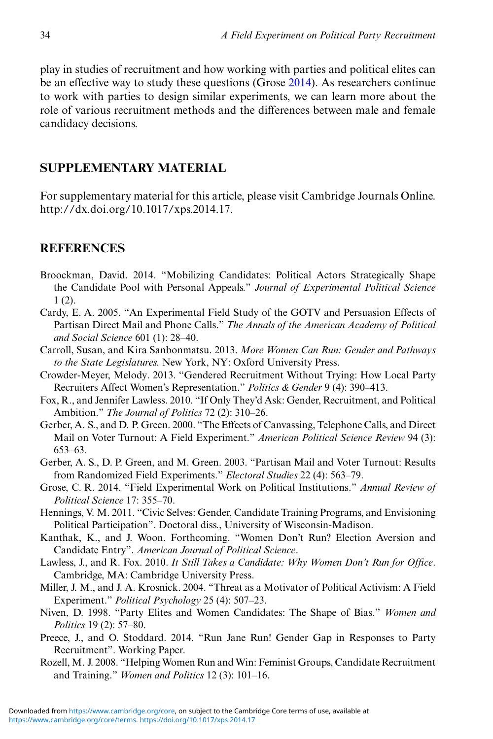<span id="page-9-0"></span>play in studies of recruitment and how working with parties and political elites can be an effective way to study these questions (Grose 2014). As researchers continue to work with parties to design similar experiments, we can learn more about the role of various recruitment methods and the differences between male and female candidacy decisions.

#### **SUPPLEMENTARY MATERIAL**

For supplementary material for this article, please visit Cambridge Journals Online. http://dx.doi.org/10.1017/xps.2014.17.

#### **REFERENCES**

- Broockman, David. 2014. "Mobilizing Candidates: Political Actors Strategically Shape the Candidate Pool with Personal Appeals." *Journal of Experimental Political Science* 1 (2).
- Cardy, E. A. 2005. "An Experimental Field Study of the GOTV and Persuasion Effects of Partisan Direct Mail and Phone Calls." *The Annals of the American Academy of Political and Social Science* 601 (1): 28–40.
- Carroll, Susan, and Kira Sanbonmatsu. 2013. *More Women Can Run: Gender and Pathways to the State Legislatures.* New York, NY: Oxford University Press.
- Crowder-Meyer, Melody. 2013. "Gendered Recruitment Without Trying: How Local Party Recruiters Affect Women's Representation." *Politics & Gender* 9 (4): 390–413.
- Fox, R., and Jennifer Lawless. 2010. "If Only They'd Ask: Gender, Recruitment, and Political Ambition." *The Journal of Politics* 72 (2): 310–26.
- Gerber, A. S., and D. P. Green. 2000. "The Effects of Canvassing, Telephone Calls, and Direct Mail on Voter Turnout: A Field Experiment." *American Political Science Review* 94 (3): 653–63.
- Gerber, A. S., D. P. Green, and M. Green. 2003. "Partisan Mail and Voter Turnout: Results from Randomized Field Experiments." *Electoral Studies* 22 (4): 563–79.
- Grose, C. R. 2014. "Field Experimental Work on Political Institutions." *Annual Review of Political Science* 17: 355–70.
- Hennings, V. M. 2011. "Civic Selves: Gender, Candidate Training Programs, and Envisioning Political Participation". Doctoral diss., University of Wisconsin-Madison.
- Kanthak, K., and J. Woon. Forthcoming. "Women Don't Run? Election Aversion and Candidate Entry". *American Journal of Political Science*.
- Lawless, J., and R. Fox. 2010. *It Still Takes a Candidate: Why Women Don't Run for Office*. Cambridge, MA: Cambridge University Press.
- Miller, J. M., and J. A. Krosnick. 2004. "Threat as a Motivator of Political Activism: A Field Experiment." *Political Psychology* 25 (4): 507–23.
- Niven, D. 1998. "Party Elites and Women Candidates: The Shape of Bias." *Women and Politics* 19 (2): 57–80.
- Preece, J., and O. Stoddard. 2014. "Run Jane Run! Gender Gap in Responses to Party Recruitment". Working Paper.
- Rozell, M. J. 2008. "Helping Women Run and Win: Feminist Groups, Candidate Recruitment and Training." *Women and Politics* 12 (3): 101–16.